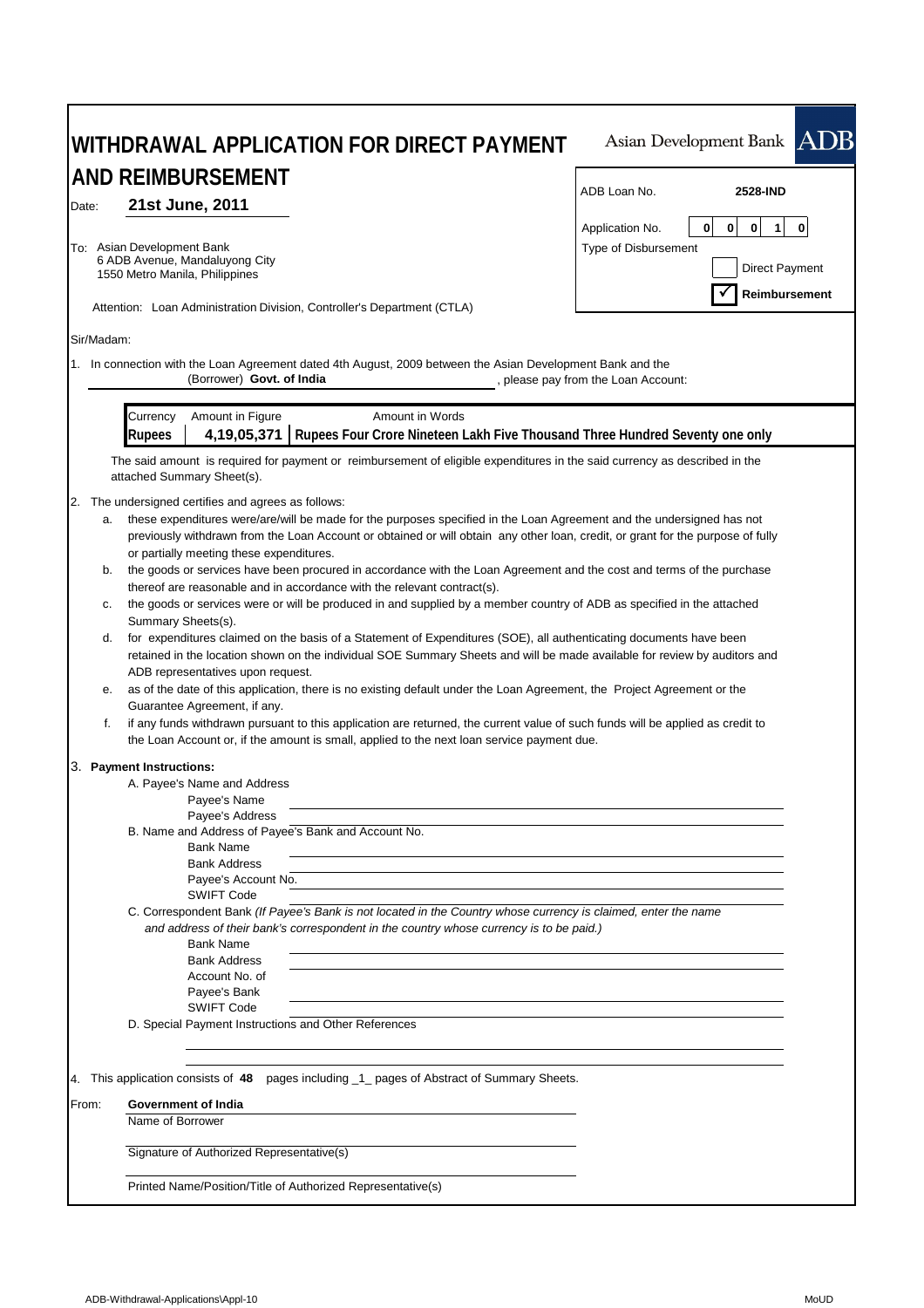|       | WITHDRAWAL APPLICATION FOR DIRECT PAYMENT                                                                                                                                                                                                                                                                                                                                                                                                                                                                                                                                                                                                                                                                                                                                                                                                                                                                                                                                                                                                                                                                                                                                                                                                                                                                                             | Asian Development Bank ADB                                                                                                                       |  |  |  |  |  |  |  |  |
|-------|---------------------------------------------------------------------------------------------------------------------------------------------------------------------------------------------------------------------------------------------------------------------------------------------------------------------------------------------------------------------------------------------------------------------------------------------------------------------------------------------------------------------------------------------------------------------------------------------------------------------------------------------------------------------------------------------------------------------------------------------------------------------------------------------------------------------------------------------------------------------------------------------------------------------------------------------------------------------------------------------------------------------------------------------------------------------------------------------------------------------------------------------------------------------------------------------------------------------------------------------------------------------------------------------------------------------------------------|--------------------------------------------------------------------------------------------------------------------------------------------------|--|--|--|--|--|--|--|--|
| Date: | <b>AND REIMBURSEMENT</b><br>21st June, 2011                                                                                                                                                                                                                                                                                                                                                                                                                                                                                                                                                                                                                                                                                                                                                                                                                                                                                                                                                                                                                                                                                                                                                                                                                                                                                           | ADB Loan No.<br>2528-IND                                                                                                                         |  |  |  |  |  |  |  |  |
|       | To: Asian Development Bank<br>6 ADB Avenue, Mandaluyong City<br>1550 Metro Manila, Philippines<br>Attention: Loan Administration Division, Controller's Department (CTLA)                                                                                                                                                                                                                                                                                                                                                                                                                                                                                                                                                                                                                                                                                                                                                                                                                                                                                                                                                                                                                                                                                                                                                             | $\mathbf{1}$<br>$\bf{0}$<br>$\mathbf 0$<br>Application No.<br>0<br>$\mathbf 0$<br>Type of Disbursement<br><b>Direct Payment</b><br>Reimbursement |  |  |  |  |  |  |  |  |
|       | Sir/Madam:                                                                                                                                                                                                                                                                                                                                                                                                                                                                                                                                                                                                                                                                                                                                                                                                                                                                                                                                                                                                                                                                                                                                                                                                                                                                                                                            |                                                                                                                                                  |  |  |  |  |  |  |  |  |
|       | 1. In connection with the Loan Agreement dated 4th August, 2009 between the Asian Development Bank and the<br>(Borrower) Govt. of India                                                                                                                                                                                                                                                                                                                                                                                                                                                                                                                                                                                                                                                                                                                                                                                                                                                                                                                                                                                                                                                                                                                                                                                               | , please pay from the Loan Account:                                                                                                              |  |  |  |  |  |  |  |  |
|       | Amount in Figure<br>Amount in Words<br>Currency<br>4,19,05,371   Rupees Four Crore Nineteen Lakh Five Thousand Three Hundred Seventy one only<br><b>Rupees</b>                                                                                                                                                                                                                                                                                                                                                                                                                                                                                                                                                                                                                                                                                                                                                                                                                                                                                                                                                                                                                                                                                                                                                                        |                                                                                                                                                  |  |  |  |  |  |  |  |  |
|       | The said amount is required for payment or reimbursement of eligible expenditures in the said currency as described in the<br>attached Summary Sheet(s).                                                                                                                                                                                                                                                                                                                                                                                                                                                                                                                                                                                                                                                                                                                                                                                                                                                                                                                                                                                                                                                                                                                                                                              |                                                                                                                                                  |  |  |  |  |  |  |  |  |
| 2.    | The undersigned certifies and agrees as follows:<br>these expenditures were/are/will be made for the purposes specified in the Loan Agreement and the undersigned has not<br>а.<br>previously withdrawn from the Loan Account or obtained or will obtain any other loan, credit, or grant for the purpose of fully<br>or partially meeting these expenditures.<br>the goods or services have been procured in accordance with the Loan Agreement and the cost and terms of the purchase<br>b.<br>thereof are reasonable and in accordance with the relevant contract(s).<br>the goods or services were or will be produced in and supplied by a member country of ADB as specified in the attached<br>с.<br>Summary Sheets(s).<br>for expenditures claimed on the basis of a Statement of Expenditures (SOE), all authenticating documents have been<br>d.<br>retained in the location shown on the individual SOE Summary Sheets and will be made available for review by auditors and<br>ADB representatives upon request.<br>as of the date of this application, there is no existing default under the Loan Agreement, the Project Agreement or the<br>е.<br>Guarantee Agreement, if any.<br>f.<br>if any funds withdrawn pursuant to this application are returned, the current value of such funds will be applied as credit to |                                                                                                                                                  |  |  |  |  |  |  |  |  |
|       | 3. Payment Instructions:<br>A. Payee's Name and Address<br>Payee's Name<br>Payee's Address<br>B. Name and Address of Payee's Bank and Account No.<br><b>Bank Name</b><br><b>Bank Address</b><br>Payee's Account No.<br><b>SWIFT Code</b><br>C. Correspondent Bank (If Payee's Bank is not located in the Country whose currency is claimed, enter the name<br>and address of their bank's correspondent in the country whose currency is to be paid.)<br><b>Bank Name</b><br><b>Bank Address</b><br>Account No. of<br>Payee's Bank<br><b>SWIFT Code</b><br>D. Special Payment Instructions and Other References                                                                                                                                                                                                                                                                                                                                                                                                                                                                                                                                                                                                                                                                                                                       |                                                                                                                                                  |  |  |  |  |  |  |  |  |
|       | 4. This application consists of 48 pages including _1_ pages of Abstract of Summary Sheets.                                                                                                                                                                                                                                                                                                                                                                                                                                                                                                                                                                                                                                                                                                                                                                                                                                                                                                                                                                                                                                                                                                                                                                                                                                           |                                                                                                                                                  |  |  |  |  |  |  |  |  |
| From: | Government of India<br>Name of Borrower                                                                                                                                                                                                                                                                                                                                                                                                                                                                                                                                                                                                                                                                                                                                                                                                                                                                                                                                                                                                                                                                                                                                                                                                                                                                                               |                                                                                                                                                  |  |  |  |  |  |  |  |  |
|       | Signature of Authorized Representative(s)                                                                                                                                                                                                                                                                                                                                                                                                                                                                                                                                                                                                                                                                                                                                                                                                                                                                                                                                                                                                                                                                                                                                                                                                                                                                                             |                                                                                                                                                  |  |  |  |  |  |  |  |  |
|       | Printed Name/Position/Title of Authorized Representative(s)                                                                                                                                                                                                                                                                                                                                                                                                                                                                                                                                                                                                                                                                                                                                                                                                                                                                                                                                                                                                                                                                                                                                                                                                                                                                           |                                                                                                                                                  |  |  |  |  |  |  |  |  |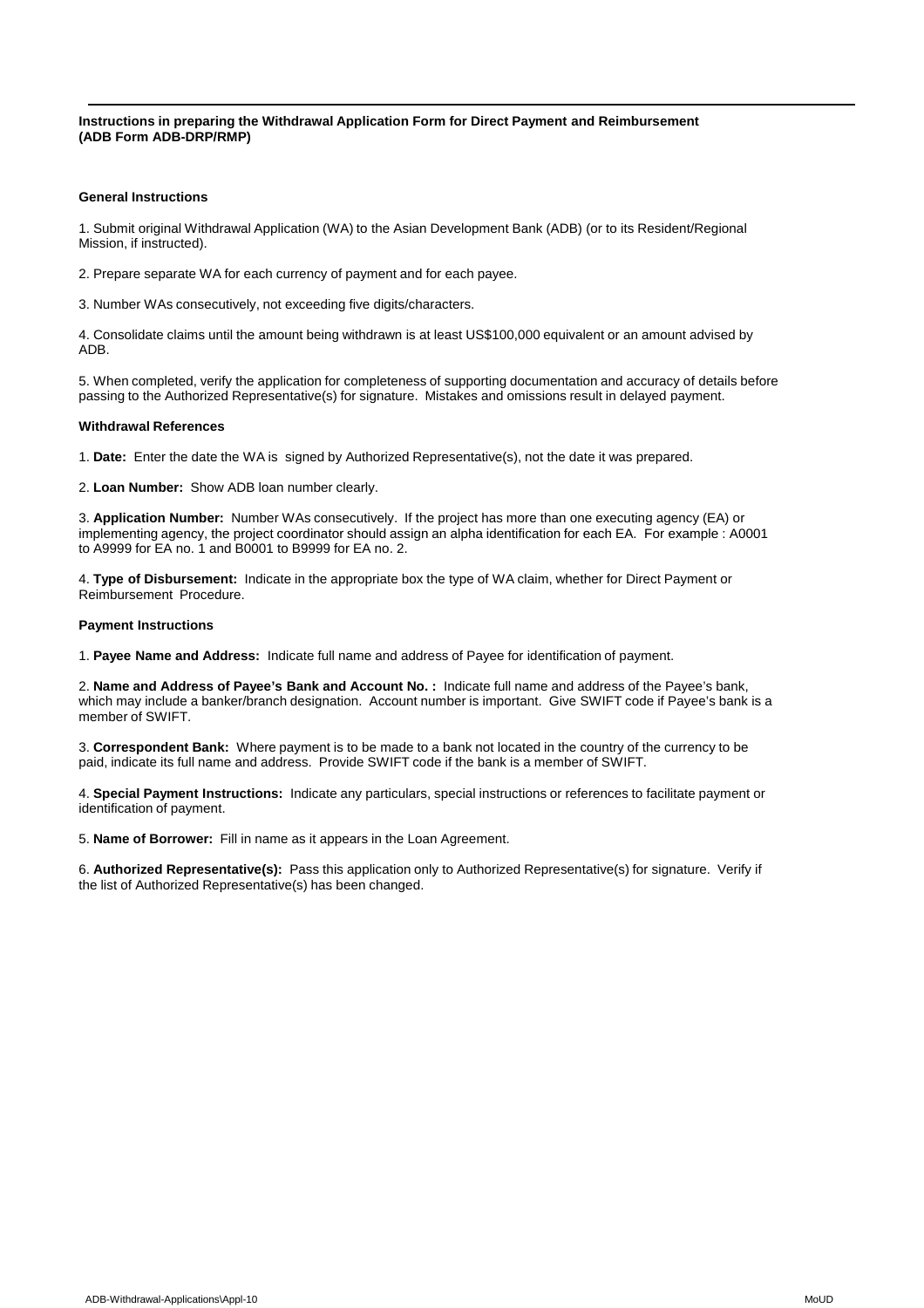**Instructions in preparing the Withdrawal Application Form for Direct Payment and Reimbursement (ADB Form ADB-DRP/RMP)**

### **General Instructions**

1. Submit original Withdrawal Application (WA) to the Asian Development Bank (ADB) (or to its Resident/Regional Mission, if instructed).

2. Prepare separate WA for each currency of payment and for each payee.

3. Number WAs consecutively, not exceeding five digits/characters.

4. Consolidate claims until the amount being withdrawn is at least US\$100,000 equivalent or an amount advised by ADB.

5. When completed, verify the application for completeness of supporting documentation and accuracy of details before passing to the Authorized Representative(s) for signature. Mistakes and omissions result in delayed payment.

#### **Withdrawal References**

1. **Date:** Enter the date the WA is signed by Authorized Representative(s), not the date it was prepared.

2. **Loan Number:** Show ADB loan number clearly.

3. **Application Number:** Number WAs consecutively. If the project has more than one executing agency (EA) or implementing agency, the project coordinator should assign an alpha identification for each EA. For example : A0001 to A9999 for EA no. 1 and B0001 to B9999 for EA no. 2.

4. **Type of Disbursement:** Indicate in the appropriate box the type of WA claim, whether for Direct Payment or Reimbursement Procedure.

#### **Payment Instructions**

1. **Payee Name and Address:** Indicate full name and address of Payee for identification of payment.

2. **Name and Address of Payee's Bank and Account No. :** Indicate full name and address of the Payee's bank, which may include a banker/branch designation. Account number is important. Give SWIFT code if Payee's bank is a member of SWIFT.

3. **Correspondent Bank:** Where payment is to be made to a bank not located in the country of the currency to be paid, indicate its full name and address. Provide SWIFT code if the bank is a member of SWIFT.

4. **Special Payment Instructions:** Indicate any particulars, special instructions or references to facilitate payment or identification of payment.

5. **Name of Borrower:** Fill in name as it appears in the Loan Agreement.

6. **Authorized Representative(s):** Pass this application only to Authorized Representative(s) for signature. Verify if the list of Authorized Representative(s) has been changed.